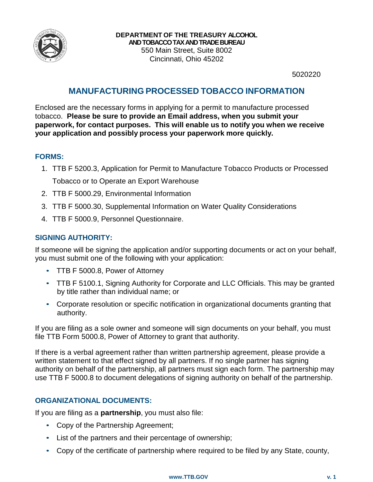

5020220

## **MANUFACTURING PROCESSED TOBACCO INFORMATION**

Enclosed are the necessary forms in applying for a permit to manufacture processed tobacco. **Please be sure to provide an Email address, when you submit your paperwork, for contact purposes. This will enable us to notify you when we receive your application and possibly process your paperwork more quickly.**

## **FORMS:**

- 1. TTB F 5200.3, Application for Permit to Manufacture Tobacco Products or Processed Tobacco or to Operate an Export Warehouse
- 2. TTB F 5000.29, Environmental Information
- 3. TTB F 5000.30, Supplemental Information on Water Quality Considerations
- 4. TTB F 5000.9, Personnel Questionnaire.

## **SIGNING AUTHORITY:**

If someone will be signing the application and/or supporting documents or act on your behalf, you must submit one of the following with your application:

- TTB F 5000.8, Power of Attorney
- TTB F 5100.1, Signing Authority for Corporate and LLC Officials. This may be granted by title rather than individual name; or
- Corporate resolution or specific notification in organizational documents granting that authority.

If you are filing as a sole owner and someone will sign documents on your behalf, you must file TTB Form 5000.8, Power of Attorney to grant that authority.

If there is a verbal agreement rather than written partnership agreement, please provide a written statement to that effect signed by all partners. If no single partner has signing authority on behalf of the partnership, all partners must sign each form. The partnership may use TTB F 5000.8 to document delegations of signing authority on behalf of the partnership.

## **ORGANIZATIONAL DOCUMENTS:**

If you are filing as a **partnership**, you must also file:

- Copy of the Partnership Agreement;
- List of the partners and their percentage of ownership;
- Copy of the certificate of partnership where required to be filed by any State, county,

#### **[www.TTB.GOV](http://www.ttb.gov/) v. 1**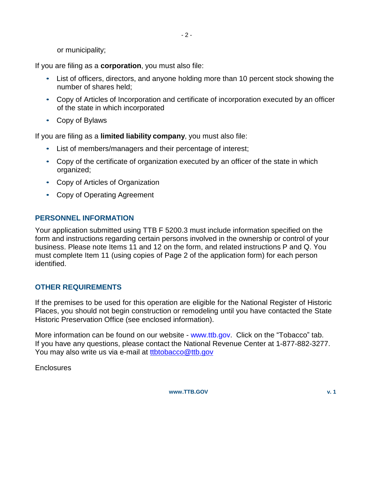or municipality;

If you are filing as a **corporation**, you must also file:

- List of officers, directors, and anyone holding more than 10 percent stock showing the number of shares held;
- Copy of Articles of Incorporation and certificate of incorporation executed by an officer of the state in which incorporated
- Copy of Bylaws

If you are filing as a **limited liability company**, you must also file:

- List of members/managers and their percentage of interest;
- Copy of the certificate of organization executed by an officer of the state in which organized;
- Copy of Articles of Organization
- Copy of Operating Agreement

## **PERSONNEL INFORMATION**

Your application submitted using TTB F 5200.3 must include information specified on the form and instructions regarding certain persons involved in the ownership or control of your business. Please note Items 11 and 12 on the form, and related instructions P and Q. You must complete Item 11 (using copies of Page 2 of the application form) for each person identified.

## **OTHER REQUIREMENTS**

If the premises to be used for this operation are eligible for the National Register of Historic Places, you should not begin construction or remodeling until you have contacted the State Historic Preservation Office (see enclosed information).

More information can be found on our website - [www.ttb.gov.](http://www.ttb.gov/) Click on the "Tobacco" tab. If you have any questions, please contact the National Revenue Center at 1-877-882-3277. You may also write us via e-mail at [ttbtobacco@ttb.gov](mailto:ttbtobacco@ttb.gov)

**Enclosures** 

**[www.TTB.GOV](http://www.ttb.gov/) v. 1**